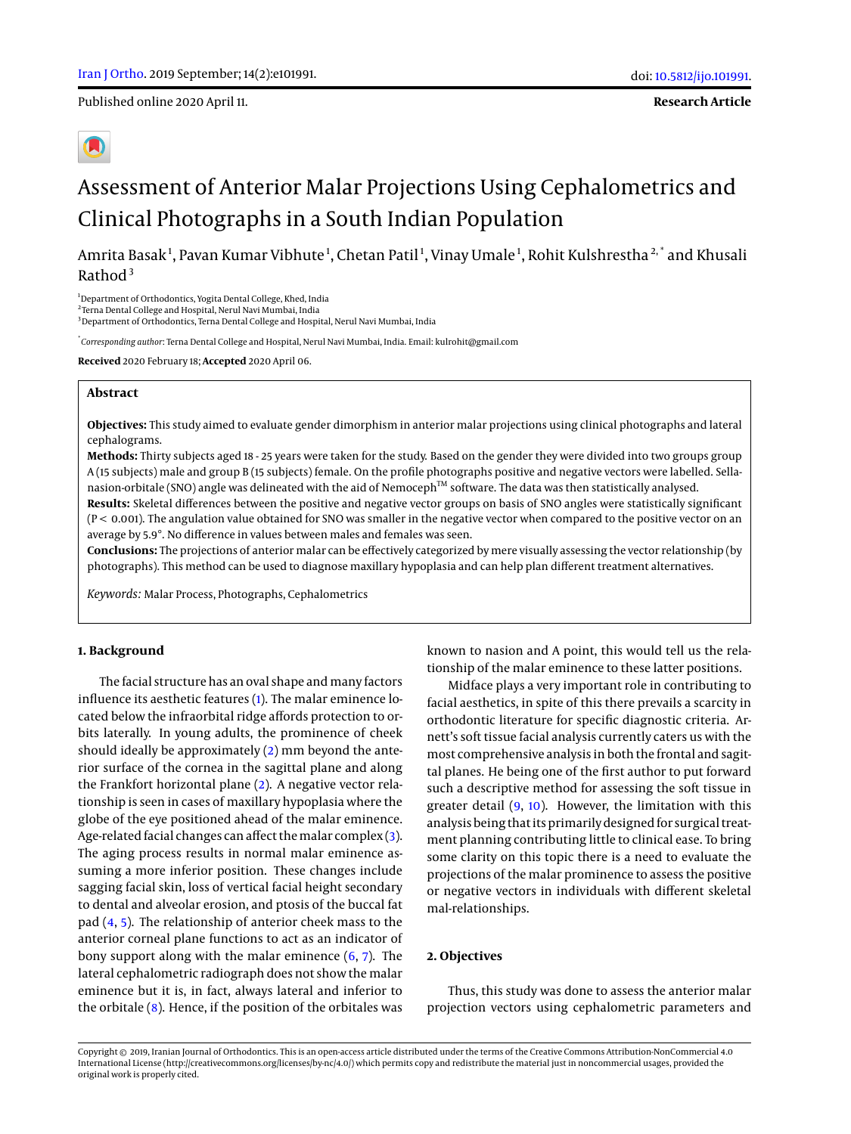Published online 2020 April 11.

**Research Article**

# Assessment of Anterior Malar Projections Using Cephalometrics and Clinical Photographs in a South Indian Population

Amrita Basak<sup>1</sup>, Pavan Kumar Vibhute<sup>1</sup>, Chetan Patil<sup>1</sup>, Vinay Umale<sup>1</sup>, Rohit Kulshrestha<sup>2,\*</sup> and Khusali Rathod $3$ 

<sup>1</sup>Department of Orthodontics, Yogita Dental College, Khed, India

<sup>3</sup>Department of Orthodontics, Terna Dental College and Hospital, Nerul Navi Mumbai, India

\* *Corresponding author*: Terna Dental College and Hospital, Nerul Navi Mumbai, India. Email: kulrohit@gmail.com

**Received** 2020 February 18; **Accepted** 2020 April 06.

## **Abstract**

**Objectives:** This study aimed to evaluate gender dimorphism in anterior malar projections using clinical photographs and lateral cephalograms.

**Methods:** Thirty subjects aged 18 - 25 years were taken for the study. Based on the gender they were divided into two groups group A (15 subjects) male and group B (15 subjects) female. On the profile photographs positive and negative vectors were labelled. Sellanasion-orbitale (SNO) angle was delineated with the aid of Nemoceph™ software. The data was then statistically analysed.

**Results:** Skeletal differences between the positive and negative vector groups on basis of SNO angles were statistically significant (P < 0.001). The angulation value obtained for SNO was smaller in the negative vector when compared to the positive vector on an average by 5.9°. No difference in values between males and females was seen.

**Conclusions:** The projections of anterior malar can be effectively categorized by mere visually assessing the vector relationship (by photographs). This method can be used to diagnose maxillary hypoplasia and can help plan different treatment alternatives.

*Keywords:* Malar Process, Photographs, Cephalometrics

## **1. Background**

The facial structure has an oval shape and many factors influence its aesthetic features [\(1\)](#page-3-0). The malar eminence located below the infraorbital ridge affords protection to orbits laterally. In young adults, the prominence of cheek should ideally be approximately [\(2\)](#page-3-1) mm beyond the anterior surface of the cornea in the sagittal plane and along the Frankfort horizontal plane [\(2\)](#page-3-1). A negative vector relationship is seen in cases of maxillary hypoplasia where the globe of the eye positioned ahead of the malar eminence. Age-related facial changes can affect the malar complex [\(3\)](#page-3-2). The aging process results in normal malar eminence assuming a more inferior position. These changes include sagging facial skin, loss of vertical facial height secondary to dental and alveolar erosion, and ptosis of the buccal fat pad [\(4,](#page-3-3) [5\)](#page-3-4). The relationship of anterior cheek mass to the anterior corneal plane functions to act as an indicator of bony support along with the malar eminence  $(6, 7)$  $(6, 7)$  $(6, 7)$ . The lateral cephalometric radiograph does not show the malar eminence but it is, in fact, always lateral and inferior to the orbitale  $(8)$ . Hence, if the position of the orbitales was

known to nasion and A point, this would tell us the relationship of the malar eminence to these latter positions.

Midface plays a very important role in contributing to facial aesthetics, in spite of this there prevails a scarcity in orthodontic literature for specific diagnostic criteria. Arnett's soft tissue facial analysis currently caters us with the most comprehensive analysis in both the frontal and sagittal planes. He being one of the first author to put forward such a descriptive method for assessing the soft tissue in greater detail  $(9, 10)$  $(9, 10)$  $(9, 10)$ . However, the limitation with this analysis being that its primarily designed for surgical treatment planning contributing little to clinical ease. To bring some clarity on this topic there is a need to evaluate the projections of the malar prominence to assess the positive or negative vectors in individuals with different skeletal mal-relationships.

#### **2. Objectives**

Thus, this study was done to assess the anterior malar projection vectors using cephalometric parameters and

<sup>2</sup> Terna Dental College and Hospital, Nerul Navi Mumbai, India

Copyright © 2019, Iranian Journal of Orthodontics. This is an open-access article distributed under the terms of the Creative Commons Attribution-NonCommercial 4.0 International License (http://creativecommons.org/licenses/by-nc/4.0/) which permits copy and redistribute the material just in noncommercial usages, provided the original work is properly cited.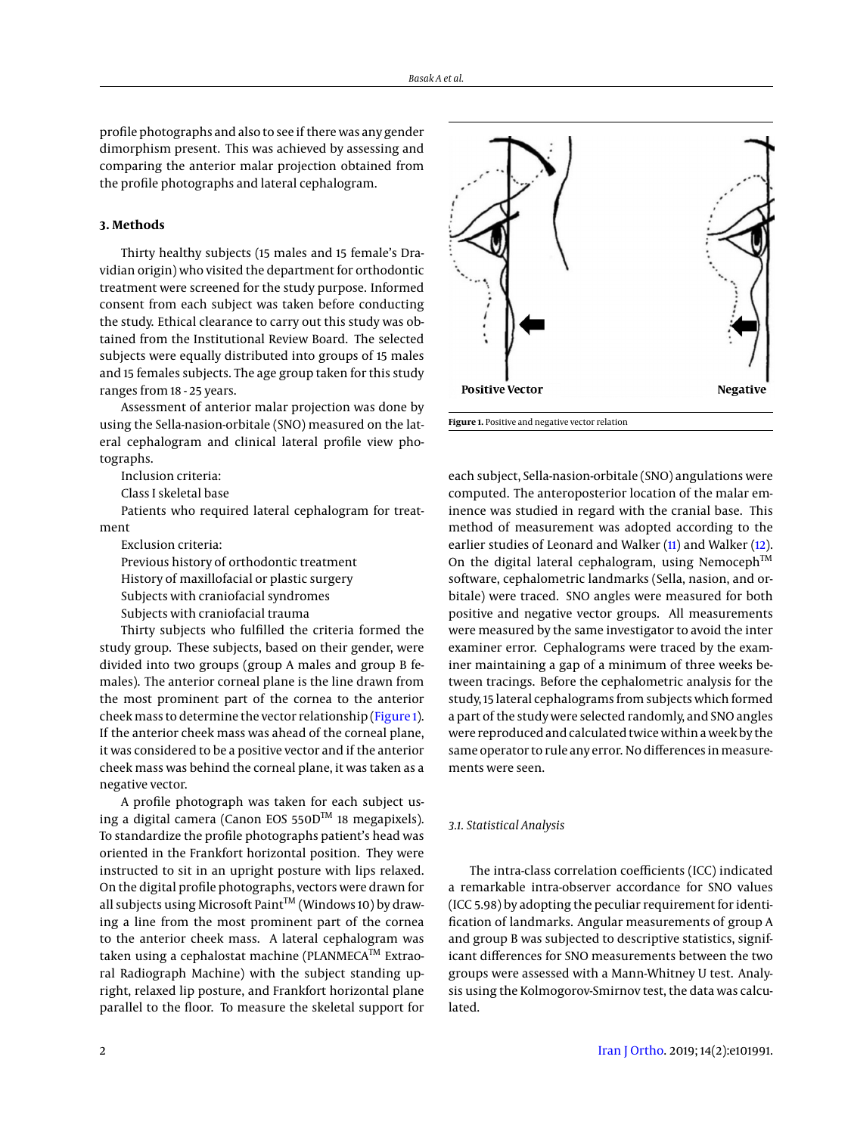profile photographs and also to see if there was any gender dimorphism present. This was achieved by assessing and comparing the anterior malar projection obtained from the profile photographs and lateral cephalogram.

## **3. Methods**

Thirty healthy subjects (15 males and 15 female's Dravidian origin) who visited the department for orthodontic treatment were screened for the study purpose. Informed consent from each subject was taken before conducting the study. Ethical clearance to carry out this study was obtained from the Institutional Review Board. The selected subjects were equally distributed into groups of 15 males and 15 females subjects. The age group taken for this study ranges from 18 - 25 years.

Assessment of anterior malar projection was done by using the Sella-nasion-orbitale (SNO) measured on the lateral cephalogram and clinical lateral profile view photographs.

Inclusion criteria:

Class I skeletal base

Patients who required lateral cephalogram for treatment

Exclusion criteria:

Previous history of orthodontic treatment

History of maxillofacial or plastic surgery

Subjects with craniofacial syndromes

Subjects with craniofacial trauma

Thirty subjects who fulfilled the criteria formed the study group. These subjects, based on their gender, were divided into two groups (group A males and group B females). The anterior corneal plane is the line drawn from the most prominent part of the cornea to the anterior cheek mass to determine the vector relationship [\(Figure 1\)](#page-1-0). If the anterior cheek mass was ahead of the corneal plane, it was considered to be a positive vector and if the anterior cheek mass was behind the corneal plane, it was taken as a negative vector.

A profile photograph was taken for each subject using a digital camera (Canon EOS 550DTM 18 megapixels). To standardize the profile photographs patient's head was oriented in the Frankfort horizontal position. They were instructed to sit in an upright posture with lips relaxed. On the digital profile photographs, vectors were drawn for all subjects using Microsoft Paint<sup>TM</sup> (Windows 10) by drawing a line from the most prominent part of the cornea to the anterior cheek mass. A lateral cephalogram was taken using a cephalostat machine (PLANMECA<sup>™</sup> Extraoral Radiograph Machine) with the subject standing upright, relaxed lip posture, and Frankfort horizontal plane parallel to the floor. To measure the skeletal support for



<span id="page-1-0"></span>

each subject, Sella-nasion-orbitale (SNO) angulations were computed. The anteroposterior location of the malar eminence was studied in regard with the cranial base. This method of measurement was adopted according to the earlier studies of Leonard and Walker [\(11\)](#page-3-10) and Walker [\(12\)](#page-3-11). On the digital lateral cephalogram, using Nemoceph<sup>TM</sup> software, cephalometric landmarks (Sella, nasion, and orbitale) were traced. SNO angles were measured for both positive and negative vector groups. All measurements were measured by the same investigator to avoid the inter examiner error. Cephalograms were traced by the examiner maintaining a gap of a minimum of three weeks between tracings. Before the cephalometric analysis for the study, 15 lateral cephalograms from subjects which formed a part of the study were selected randomly, and SNO angles were reproduced and calculated twice within a week by the same operator to rule any error. No differences in measurements were seen.

## *3.1. Statistical Analysis*

The intra-class correlation coefficients (ICC) indicated a remarkable intra-observer accordance for SNO values (ICC 5.98) by adopting the peculiar requirement for identification of landmarks. Angular measurements of group A and group B was subjected to descriptive statistics, significant differences for SNO measurements between the two groups were assessed with a Mann-Whitney U test. Analysis using the Kolmogorov-Smirnov test, the data was calculated.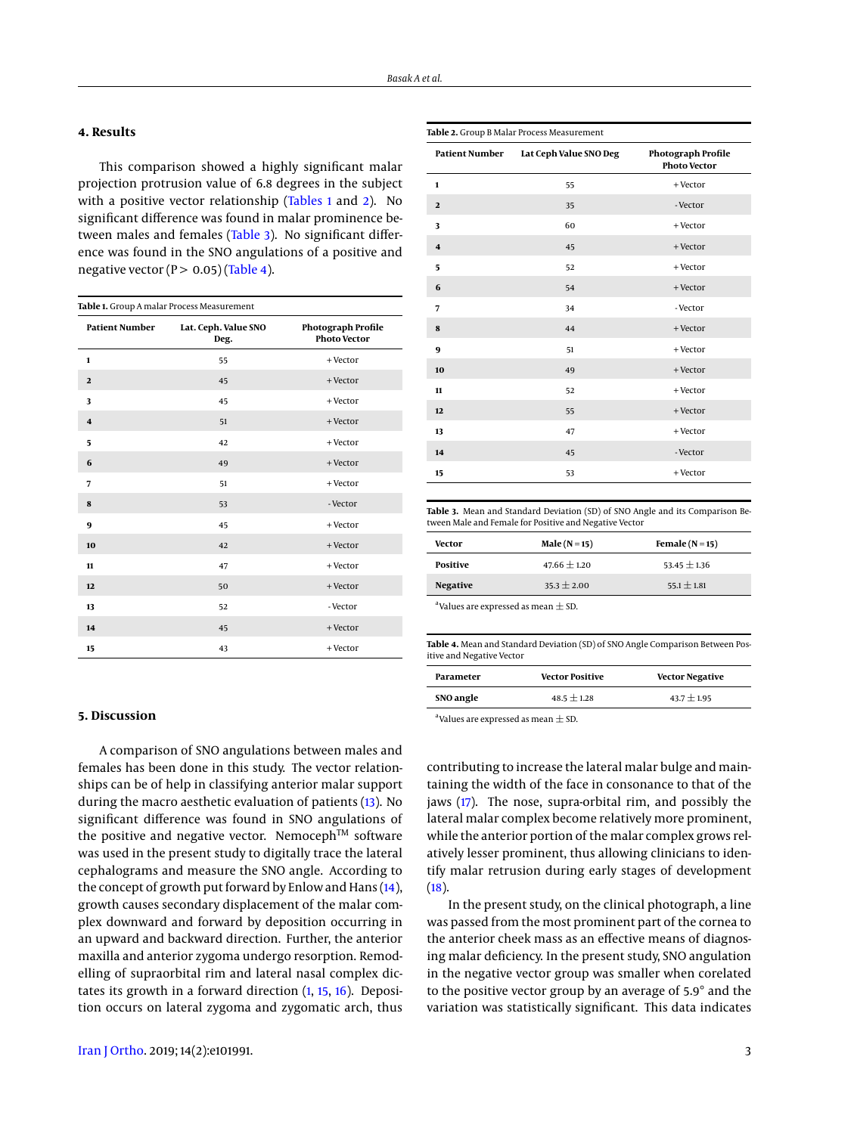# **4. Results**

This comparison showed a highly significant malar projection protrusion value of 6.8 degrees in the subject with a positive vector relationship [\(Tables 1](#page-2-0) and [2\)](#page-2-1). No significant difference was found in malar prominence be-tween males and females [\(Table 3\)](#page-2-2). No significant difference was found in the SNO angulations of a positive and negative vector ( $P > 0.05$ ) [\(Table 4\)](#page-2-3).

<span id="page-2-0"></span>

| Table 1. Group A malar Process Measurement |                              |                                           |  |  |
|--------------------------------------------|------------------------------|-------------------------------------------|--|--|
| <b>Patient Number</b>                      | Lat. Ceph. Value SNO<br>Deg. | Photograph Profile<br><b>Photo Vector</b> |  |  |
| $\mathbf{1}$                               | 55                           | + Vector                                  |  |  |
| $\mathbf{2}$                               | 45                           | + Vector                                  |  |  |
| 3                                          | 45                           | + Vector                                  |  |  |
| $\overline{\mathbf{4}}$                    | 51                           | + Vector                                  |  |  |
| 5                                          | 42                           | + Vector                                  |  |  |
| 6                                          | 49                           | + Vector                                  |  |  |
| 7                                          | 51                           | $+$ Vector                                |  |  |
| 8                                          | 53                           | - Vector                                  |  |  |
| 9                                          | 45                           | + Vector                                  |  |  |
| 10                                         | 42                           | + Vector                                  |  |  |
| 11                                         | 47                           | + Vector                                  |  |  |
| 12                                         | 50                           | + Vector                                  |  |  |
| 13                                         | 52                           | - Vector                                  |  |  |
| 14                                         | 45                           | + Vector                                  |  |  |
| 15                                         | 43                           | + Vector                                  |  |  |

<span id="page-2-1"></span>

| <b>Patient Number</b>   | Lat Ceph Value SNO Deg | <b>Photograph Profile</b><br><b>Photo Vector</b> |
|-------------------------|------------------------|--------------------------------------------------|
| $\mathbf{1}$            | 55                     | + Vector                                         |
| $\mathbf{2}$            | 35                     | - Vector                                         |
| 3                       | 60                     | + Vector                                         |
| $\overline{\mathbf{4}}$ | 45                     | + Vector                                         |
| 5                       | 52                     | + Vector                                         |
| 6                       | 54                     | + Vector                                         |
| 7                       | 34                     | - Vector                                         |
| 8                       | 44                     | + Vector                                         |
| 9                       | 51                     | + Vector                                         |
| 10                      | 49                     | + Vector                                         |
| $\mathbf{11}$           | 52                     | + Vector                                         |
| 12                      | 55                     | + Vector                                         |
| 13                      | 47                     | + Vector                                         |
| 14                      | 45                     | - Vector                                         |
| 15                      | 53                     | + Vector                                         |

<span id="page-2-2"></span>**Table 3.** Mean and Standard Deviation (SD) of SNO Angle and its Comparison Between Male and Female for Positive and Negative Vector

| <b>Vector</b>   | Male $(N=15)$    | Female $(N=15)$  |
|-----------------|------------------|------------------|
| Positive        | $47.66 \pm 1.20$ | $53.45 \pm 1.36$ |
| <b>Negative</b> | $35.3 \pm 2.00$  | $55.1 \pm 1.81$  |

<sup>a</sup> Values are expressed as mean  $\pm$  SD.

<span id="page-2-3"></span>**Table 4.** Mean and Standard Deviation (SD) of SNO Angle Comparison Between Positive and Negative Vector

| Parameter | <b>Vector Positive</b> | <b>Vector Negative</b> |
|-----------|------------------------|------------------------|
| SNO angle | $48.5 \pm 1.28$        | $43.7 \pm 1.95$        |
|           |                        |                        |

<sup>a</sup> Values are expressed as mean  $\pm$  SD.

contributing to increase the lateral malar bulge and maintaining the width of the face in consonance to that of the jaws [\(17\)](#page-4-4). The nose, supra-orbital rim, and possibly the lateral malar complex become relatively more prominent, while the anterior portion of the malar complex grows relatively lesser prominent, thus allowing clinicians to identify malar retrusion during early stages of development  $(18)$ .

In the present study, on the clinical photograph, a line was passed from the most prominent part of the cornea to the anterior cheek mass as an effective means of diagnosing malar deficiency. In the present study, SNO angulation in the negative vector group was smaller when corelated to the positive vector group by an average of 5.9° and the variation was statistically significant. This data indicates

#### **5. Discussion**

A comparison of SNO angulations between males and females has been done in this study. The vector relationships can be of help in classifying anterior malar support during the macro aesthetic evaluation of patients [\(13\)](#page-4-0). No significant difference was found in SNO angulations of the positive and negative vector. Nemoceph<sup>TM</sup> software was used in the present study to digitally trace the lateral cephalograms and measure the SNO angle. According to the concept of growth put forward by Enlow and Hans [\(14\)](#page-4-1), growth causes secondary displacement of the malar complex downward and forward by deposition occurring in an upward and backward direction. Further, the anterior maxilla and anterior zygoma undergo resorption. Remodelling of supraorbital rim and lateral nasal complex dictates its growth in a forward direction [\(1,](#page-3-0) [15,](#page-4-2) [16\)](#page-4-3). Deposition occurs on lateral zygoma and zygomatic arch, thus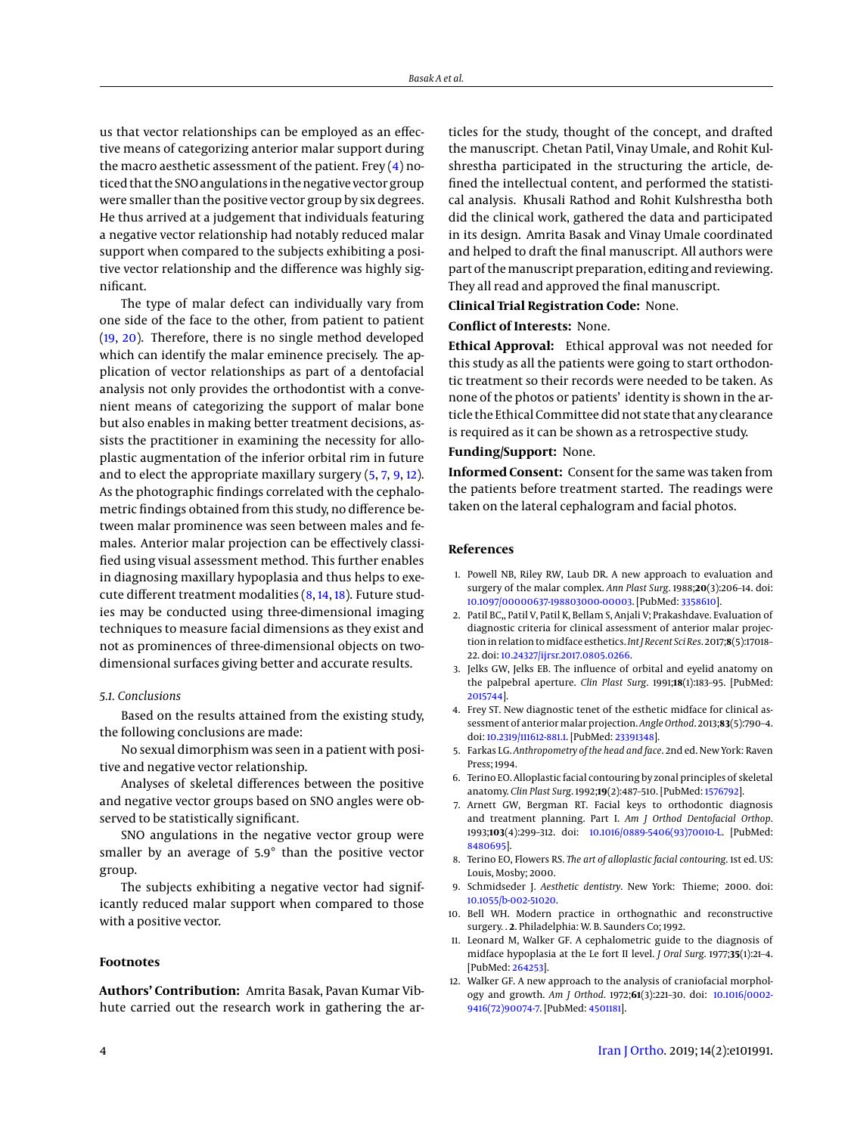us that vector relationships can be employed as an effective means of categorizing anterior malar support during the macro aesthetic assessment of the patient. Frey  $(4)$  noticed that the SNO angulations in the negative vector group were smaller than the positive vector group by six degrees. He thus arrived at a judgement that individuals featuring a negative vector relationship had notably reduced malar support when compared to the subjects exhibiting a positive vector relationship and the difference was highly significant.

The type of malar defect can individually vary from one side of the face to the other, from patient to patient [\(19,](#page-4-6) [20\)](#page-4-7). Therefore, there is no single method developed which can identify the malar eminence precisely. The application of vector relationships as part of a dentofacial analysis not only provides the orthodontist with a convenient means of categorizing the support of malar bone but also enables in making better treatment decisions, assists the practitioner in examining the necessity for alloplastic augmentation of the inferior orbital rim in future and to elect the appropriate maxillary surgery [\(5,](#page-3-4) [7,](#page-3-6) [9,](#page-3-8) [12\)](#page-3-11). As the photographic findings correlated with the cephalometric findings obtained from this study, no difference between malar prominence was seen between males and females. Anterior malar projection can be effectively classified using visual assessment method. This further enables in diagnosing maxillary hypoplasia and thus helps to execute different treatment modalities [\(8,](#page-3-7) [14,](#page-4-1) [18\)](#page-4-5). Future studies may be conducted using three-dimensional imaging techniques to measure facial dimensions as they exist and not as prominences of three-dimensional objects on twodimensional surfaces giving better and accurate results.

#### *5.1. Conclusions*

Based on the results attained from the existing study, the following conclusions are made:

No sexual dimorphism was seen in a patient with positive and negative vector relationship.

Analyses of skeletal differences between the positive and negative vector groups based on SNO angles were observed to be statistically significant.

SNO angulations in the negative vector group were smaller by an average of 5.9° than the positive vector group.

The subjects exhibiting a negative vector had significantly reduced malar support when compared to those with a positive vector.

#### **Footnotes**

**Authors' Contribution:** Amrita Basak, Pavan Kumar Vibhute carried out the research work in gathering the articles for the study, thought of the concept, and drafted the manuscript. Chetan Patil, Vinay Umale, and Rohit Kulshrestha participated in the structuring the article, defined the intellectual content, and performed the statistical analysis. Khusali Rathod and Rohit Kulshrestha both did the clinical work, gathered the data and participated in its design. Amrita Basak and Vinay Umale coordinated and helped to draft the final manuscript. All authors were part of the manuscript preparation, editing and reviewing. They all read and approved the final manuscript.

## **Clinical Trial Registration Code:** None.

## **Conflict of Interests:** None.

**Ethical Approval:** Ethical approval was not needed for this study as all the patients were going to start orthodontic treatment so their records were needed to be taken. As none of the photos or patients' identity is shown in the article the Ethical Committee did not state that any clearance is required as it can be shown as a retrospective study.

# **Funding/Support:** None.

**Informed Consent:** Consent for the same was taken from the patients before treatment started. The readings were taken on the lateral cephalogram and facial photos.

## **References**

- <span id="page-3-0"></span>1. Powell NB, Riley RW, Laub DR. A new approach to evaluation and surgery of the malar complex. *Ann Plast Surg*. 1988;**20**(3):206–14. doi: [10.1097/00000637-198803000-00003.](http://dx.doi.org/10.1097/00000637-198803000-00003) [PubMed: [3358610\]](http://www.ncbi.nlm.nih.gov/pubmed/3358610).
- <span id="page-3-1"></span>2. Patil BC,, Patil V, Patil K, Bellam S, Anjali V; Prakashdave. Evaluation of diagnostic criteria for clinical assessment of anterior malar projection in relation to midface esthetics. *Int J Recent Sci Res*. 2017;8(5):17018-22. doi: [10.24327/ijrsr.2017.0805.0266.](http://dx.doi.org/10.24327/ijrsr.2017.0805.0266)
- <span id="page-3-2"></span>3. Jelks GW, Jelks EB. The influence of orbital and eyelid anatomy on the palpebral aperture. *Clin Plast Surg*. 1991;**18**(1):183–95. [PubMed: [2015744\]](http://www.ncbi.nlm.nih.gov/pubmed/2015744).
- <span id="page-3-3"></span>4. Frey ST. New diagnostic tenet of the esthetic midface for clinical assessment of anterior malar projection. *Angle Orthod*. 2013;83(5):790-4. doi: [10.2319/111612-881.1.](http://dx.doi.org/10.2319/111612-881.1) [PubMed: [23391348\]](http://www.ncbi.nlm.nih.gov/pubmed/23391348).
- <span id="page-3-4"></span>5. Farkas LG. *Anthropometry of the head and face*. 2nd ed. New York: Raven Press; 1994.
- <span id="page-3-5"></span>6. Terino EO. Alloplastic facial contouring by zonal principles of skeletal anatomy. *Clin Plast Surg*. 1992;**19**(2):487–510. [PubMed: [1576792\]](http://www.ncbi.nlm.nih.gov/pubmed/1576792).
- <span id="page-3-6"></span>7. Arnett GW, Bergman RT. Facial keys to orthodontic diagnosis and treatment planning. Part I. *Am J Orthod Dentofacial Orthop*. 1993;**103**(4):299–312. doi: [10.1016/0889-5406\(93\)70010-L.](http://dx.doi.org/10.1016/0889-5406(93)70010-L) [PubMed: [8480695\]](http://www.ncbi.nlm.nih.gov/pubmed/8480695).
- <span id="page-3-7"></span>8. Terino EO, Flowers RS. *The art of alloplastic facial contouring*. 1st ed. US: Louis, Mosby; 2000.
- <span id="page-3-8"></span>9. Schmidseder J. *Aesthetic dentistry*. New York: Thieme; 2000. doi: [10.1055/b-002-51020.](http://dx.doi.org/10.1055/b-002-51020)
- <span id="page-3-9"></span>10. Bell WH. Modern practice in orthognathic and reconstructive surgery. . **2**. Philadelphia: W. B. Saunders Co; 1992.
- <span id="page-3-10"></span>11. Leonard M, Walker GF. A cephalometric guide to the diagnosis of midface hypoplasia at the Le fort II level. *J Oral Surg*. 1977;**35**(1):21–4. [PubMed: [264253\]](http://www.ncbi.nlm.nih.gov/pubmed/264253).
- <span id="page-3-11"></span>12. Walker GF. A new approach to the analysis of craniofacial morphology and growth. *Am J Orthod*. 1972;**61**(3):221–30. doi: [10.1016/0002-](http://dx.doi.org/10.1016/0002-9416(72)90074-7) [9416\(72\)90074-7.](http://dx.doi.org/10.1016/0002-9416(72)90074-7) [PubMed: [4501181\]](http://www.ncbi.nlm.nih.gov/pubmed/4501181).